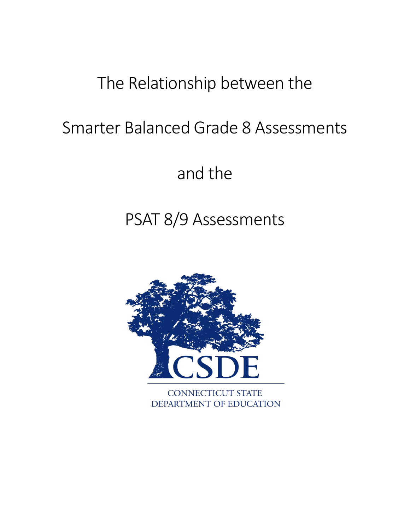# The Relationship between the

# Smarter Balanced Grade 8 Assessments

and the

# PSAT 8/9 Assessments

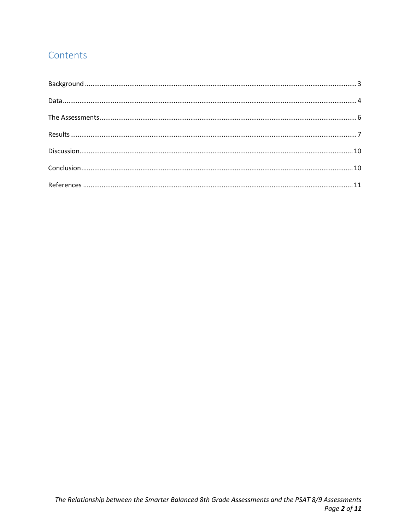# Contents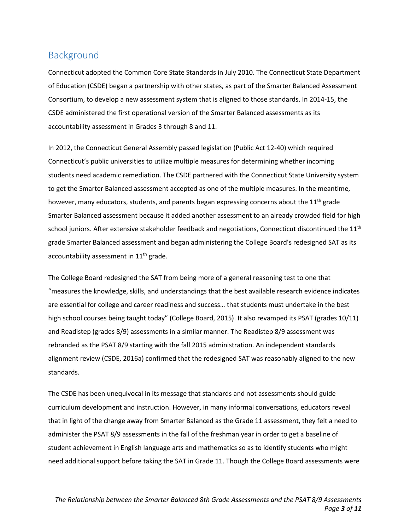### <span id="page-2-0"></span>Background

Connecticut adopted the Common Core State Standards in July 2010. The Connecticut State Department of Education (CSDE) began a partnership with other states, as part of the Smarter Balanced Assessment Consortium, to develop a new assessment system that is aligned to those standards. In 2014-15, the CSDE administered the first operational version of the Smarter Balanced assessments as its accountability assessment in Grades 3 through 8 and 11.

In 2012, the Connecticut General Assembly passed legislation (Public Act 12-40) which required Connecticut's public universities to utilize multiple measures for determining whether incoming students need academic remediation. The CSDE partnered with the Connecticut State University system to get the Smarter Balanced assessment accepted as one of the multiple measures. In the meantime, however, many educators, students, and parents began expressing concerns about the  $11<sup>th</sup>$  grade Smarter Balanced assessment because it added another assessment to an already crowded field for high school juniors. After extensive stakeholder feedback and negotiations, Connecticut discontinued the 11<sup>th</sup> grade Smarter Balanced assessment and began administering the College Board's redesigned SAT as its accountability assessment in  $11<sup>th</sup>$  grade.

The College Board redesigned the SAT from being more of a general reasoning test to one that "measures the knowledge, skills, and understandings that the best available research evidence indicates are essential for college and career readiness and success… that students must undertake in the best high school courses being taught today" (College Board, 2015). It also revamped its PSAT (grades 10/11) and Readistep (grades 8/9) assessments in a similar manner. The Readistep 8/9 assessment was rebranded as the PSAT 8/9 starting with the fall 2015 administration. An independent standards alignment review (CSDE, 2016a) confirmed that the redesigned SAT was reasonably aligned to the new standards.

The CSDE has been unequivocal in its message that standards and not assessments should guide curriculum development and instruction. However, in many informal conversations, educators reveal that in light of the change away from Smarter Balanced as the Grade 11 assessment, they felt a need to administer the PSAT 8/9 assessments in the fall of the freshman year in order to get a baseline of student achievement in English language arts and mathematics so as to identify students who might need additional support before taking the SAT in Grade 11. Though the College Board assessments were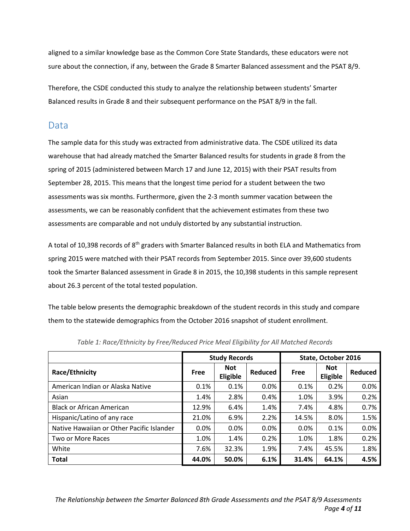aligned to a similar knowledge base as the Common Core State Standards, these educators were not sure about the connection, if any, between the Grade 8 Smarter Balanced assessment and the PSAT 8/9.

Therefore, the CSDE conducted this study to analyze the relationship between students' Smarter Balanced results in Grade 8 and their subsequent performance on the PSAT 8/9 in the fall.

#### <span id="page-3-0"></span>Data

The sample data for this study was extracted from administrative data. The CSDE utilized its data warehouse that had already matched the Smarter Balanced results for students in grade 8 from the spring of 2015 (administered between March 17 and June 12, 2015) with their PSAT results from September 28, 2015. This means that the longest time period for a student between the two assessments was six months. Furthermore, given the 2-3 month summer vacation between the assessments, we can be reasonably confident that the achievement estimates from these two assessments are comparable and not unduly distorted by any substantial instruction.

A total of 10,398 records of 8<sup>th</sup> graders with Smarter Balanced results in both ELA and Mathematics from spring 2015 were matched with their PSAT records from September 2015. Since over 39,600 students took the Smarter Balanced assessment in Grade 8 in 2015, the 10,398 students in this sample represent about 26.3 percent of the total tested population.

The table below presents the demographic breakdown of the student records in this study and compare them to the statewide demographics from the October 2016 snapshot of student enrollment.

|                                           |       | <b>Study Records</b>   |         | State, October 2016 |                        |         |  |
|-------------------------------------------|-------|------------------------|---------|---------------------|------------------------|---------|--|
| Race/Ethnicity                            | Free  | <b>Not</b><br>Eligible | Reduced | <b>Free</b>         | <b>Not</b><br>Eligible | Reduced |  |
| American Indian or Alaska Native          | 0.1%  | 0.1%                   | $0.0\%$ | 0.1%                | 0.2%                   | 0.0%    |  |
| Asian                                     | 1.4%  | 2.8%                   | 0.4%    | 1.0%                | 3.9%                   | 0.2%    |  |
| <b>Black or African American</b>          | 12.9% | 6.4%                   | 1.4%    | 7.4%                | 4.8%                   | 0.7%    |  |
| Hispanic/Latino of any race               | 21.0% | 6.9%                   | 2.2%    | 14.5%               | 8.0%                   | 1.5%    |  |
| Native Hawaiian or Other Pacific Islander | 0.0%  | 0.0%                   | 0.0%    | 0.0%                | 0.1%                   | 0.0%    |  |
| Two or More Races                         | 1.0%  | 1.4%                   | 0.2%    | 1.0%                | 1.8%                   | 0.2%    |  |
| White                                     | 7.6%  | 32.3%                  | 1.9%    | 7.4%                | 45.5%                  | 1.8%    |  |
| <b>Total</b>                              | 44.0% | 50.0%                  | 6.1%    | 31.4%               | 64.1%                  | 4.5%    |  |

*Table 1: Race/Ethnicity by Free/Reduced Price Meal Eligibility for All Matched Records*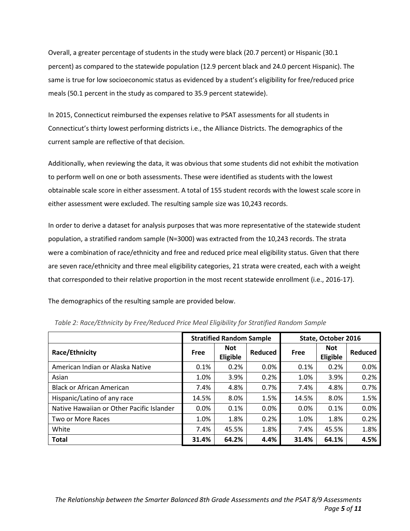Overall, a greater percentage of students in the study were black (20.7 percent) or Hispanic (30.1 percent) as compared to the statewide population (12.9 percent black and 24.0 percent Hispanic). The same is true for low socioeconomic status as evidenced by a student's eligibility for free/reduced price meals (50.1 percent in the study as compared to 35.9 percent statewide).

In 2015, Connecticut reimbursed the expenses relative to PSAT assessments for all students in Connecticut's thirty lowest performing districts i.e., the Alliance Districts. The demographics of the current sample are reflective of that decision.

Additionally, when reviewing the data, it was obvious that some students did not exhibit the motivation to perform well on one or both assessments. These were identified as students with the lowest obtainable scale score in either assessment. A total of 155 student records with the lowest scale score in either assessment were excluded. The resulting sample size was 10,243 records.

In order to derive a dataset for analysis purposes that was more representative of the statewide student population, a stratified random sample (N=3000) was extracted from the 10,243 records. The strata were a combination of race/ethnicity and free and reduced price meal eligibility status. Given that there are seven race/ethnicity and three meal eligibility categories, 21 strata were created, each with a weight that corresponded to their relative proportion in the most recent statewide enrollment (i.e., 2016-17).

The demographics of the resulting sample are provided below.

|                                           |       | <b>Stratified Random Sample</b> |                | State, October 2016 |                        |         |  |
|-------------------------------------------|-------|---------------------------------|----------------|---------------------|------------------------|---------|--|
| Race/Ethnicity                            | Free  | <b>Not</b><br>Eligible          | <b>Reduced</b> | <b>Free</b>         | <b>Not</b><br>Eligible | Reduced |  |
| American Indian or Alaska Native          | 0.1%  | 0.2%                            | 0.0%           | 0.1%                | 0.2%                   | 0.0%    |  |
| Asian                                     | 1.0%  | 3.9%                            | 0.2%           | 1.0%                | 3.9%                   | 0.2%    |  |
| <b>Black or African American</b>          | 7.4%  | 4.8%                            | 0.7%           | 7.4%                | 4.8%                   | 0.7%    |  |
| Hispanic/Latino of any race               | 14.5% | 8.0%                            | 1.5%           | 14.5%               | 8.0%                   | 1.5%    |  |
| Native Hawaiian or Other Pacific Islander | 0.0%  | 0.1%                            | 0.0%           | 0.0%                | 0.1%                   | 0.0%    |  |
| Two or More Races                         | 1.0%  | 1.8%                            | 0.2%           | 1.0%                | 1.8%                   | 0.2%    |  |
| White                                     | 7.4%  | 45.5%                           | 1.8%           | 7.4%                | 45.5%                  | 1.8%    |  |
| <b>Total</b>                              | 31.4% | 64.2%                           | 4.4%           | 31.4%               | 64.1%                  | 4.5%    |  |

*Table 2: Race/Ethnicity by Free/Reduced Price Meal Eligibility for Stratified Random Sample*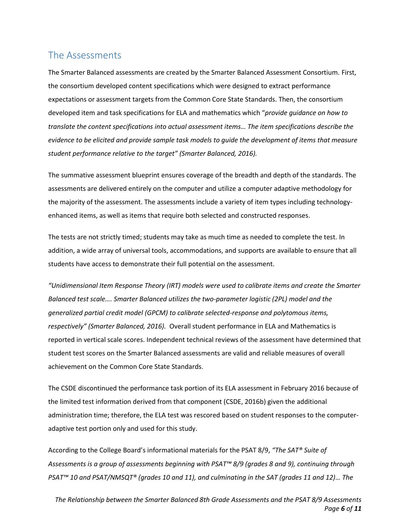### <span id="page-5-0"></span>The Assessments

The Smarter Balanced assessments are created by the Smarter Balanced Assessment Consortium. First, the consortium developed content specifications which were designed to extract performance expectations or assessment targets from the Common Core State Standards. Then, the consortium developed item and task specifications for ELA and mathematics which "*provide guidance on how to translate the content specifications into actual assessment items… The item specifications describe the evidence to be elicited and provide sample task models to guide the development of items that measure student performance relative to the target" (Smarter Balanced, 2016).*

The summative assessment blueprint ensures coverage of the breadth and depth of the standards. The assessments are delivered entirely on the computer and utilize a computer adaptive methodology for the majority of the assessment. The assessments include a variety of item types including technologyenhanced items, as well as items that require both selected and constructed responses.

The tests are not strictly timed; students may take as much time as needed to complete the test. In addition, a wide array of universal tools, accommodations, and supports are available to ensure that all students have access to demonstrate their full potential on the assessment.

*"Unidimensional Item Response Theory (IRT) models were used to calibrate items and create the Smarter Balanced test scale…. Smarter Balanced utilizes the two-parameter logistic (2PL) model and the generalized partial credit model (GPCM) to calibrate selected-response and polytomous items, respectively" (Smarter Balanced, 2016).* Overall student performance in ELA and Mathematics is reported in vertical scale scores. Independent technical reviews of the assessment have determined that student test scores on the Smarter Balanced assessments are valid and reliable measures of overall achievement on the Common Core State Standards.

The CSDE discontinued the performance task portion of its ELA assessment in February 2016 because of the limited test information derived from that component (CSDE, 2016b) given the additional administration time; therefore, the ELA test was rescored based on student responses to the computeradaptive test portion only and used for this study.

According to the College Board's informational materials for the PSAT 8/9, *"The SAT® Suite of Assessments is a group of assessments beginning with PSAT™ 8/9 (grades 8 and 9), continuing through PSAT™ 10 and PSAT/NMSQT® (grades 10 and 11), and culminating in the SAT (grades 11 and 12)… The* 

*The Relationship between the Smarter Balanced 8th Grade Assessments and the PSAT 8/9 Assessments Page 6 of 11*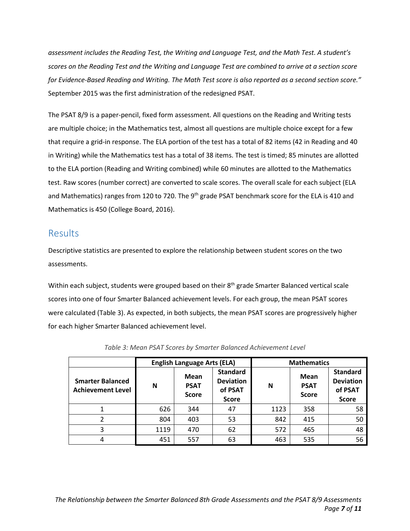*assessment includes the Reading Test, the Writing and Language Test, and the Math Test. A student's scores on the Reading Test and the Writing and Language Test are combined to arrive at a section score for Evidence-Based Reading and Writing. The Math Test score is also reported as a second section score."* September 2015 was the first administration of the redesigned PSAT.

The PSAT 8/9 is a paper-pencil, fixed form assessment. All questions on the Reading and Writing tests are multiple choice; in the Mathematics test, almost all questions are multiple choice except for a few that require a grid-in response. The ELA portion of the test has a total of 82 items (42 in Reading and 40 in Writing) while the Mathematics test has a total of 38 items. The test is timed; 85 minutes are allotted to the ELA portion (Reading and Writing combined) while 60 minutes are allotted to the Mathematics test. Raw scores (number correct) are converted to scale scores. The overall scale for each subject (ELA and Mathematics) ranges from 120 to 720. The 9<sup>th</sup> grade PSAT benchmark score for the ELA is 410 and Mathematics is 450 (College Board, 2016).

### <span id="page-6-0"></span>Results

Descriptive statistics are presented to explore the relationship between student scores on the two assessments.

Within each subject, students were grouped based on their 8<sup>th</sup> grade Smarter Balanced vertical scale scores into one of four Smarter Balanced achievement levels. For each group, the mean PSAT scores were calculated (Table 3). As expected, in both subjects, the mean PSAT scores are progressively higher for each higher Smarter Balanced achievement level.

|                                                     |      | <b>English Language Arts (ELA)</b>         |                                                                | <b>Mathematics</b>                              |     |                                                                |  |
|-----------------------------------------------------|------|--------------------------------------------|----------------------------------------------------------------|-------------------------------------------------|-----|----------------------------------------------------------------|--|
| <b>Smarter Balanced</b><br><b>Achievement Level</b> | N    | <b>Mean</b><br><b>PSAT</b><br><b>Score</b> | <b>Standard</b><br><b>Deviation</b><br>of PSAT<br><b>Score</b> | <b>Mean</b><br>N<br><b>PSAT</b><br><b>Score</b> |     | <b>Standard</b><br><b>Deviation</b><br>of PSAT<br><b>Score</b> |  |
|                                                     | 626  | 344                                        | 47                                                             | 1123                                            | 358 | 58                                                             |  |
| 2                                                   | 804  | 403                                        | 53                                                             | 842                                             | 415 | 50                                                             |  |
| 3                                                   | 1119 | 470                                        | 62                                                             | 572                                             | 465 | 48                                                             |  |
| 4                                                   | 451  | 557                                        | 63                                                             | 463                                             | 535 | 56                                                             |  |

*Table 3: Mean PSAT Scores by Smarter Balanced Achievement Level*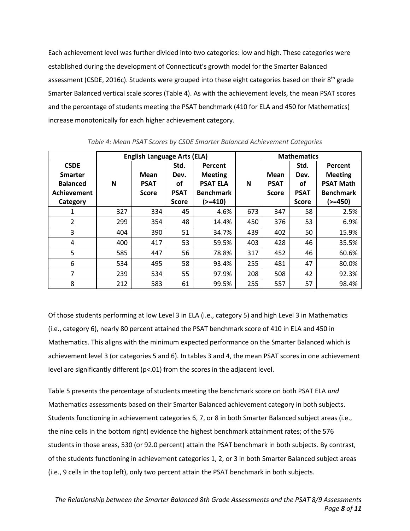Each achievement level was further divided into two categories: low and high. These categories were established during the development of Connecticut's growth model for the Smarter Balanced assessment (CSDE, 2016c). Students were grouped into these eight categories based on their 8<sup>th</sup> grade Smarter Balanced vertical scale scores (Table 4). As with the achievement levels, the mean PSAT scores and the percentage of students meeting the PSAT benchmark (410 for ELA and 450 for Mathematics) increase monotonically for each higher achievement category.

|                 |     | <b>English Language Arts (ELA)</b> |              |                  | <b>Mathematics</b> |              |              |                  |
|-----------------|-----|------------------------------------|--------------|------------------|--------------------|--------------|--------------|------------------|
| <b>CSDE</b>     |     |                                    | Std.         | Percent          |                    |              | Std.         | <b>Percent</b>   |
| <b>Smarter</b>  |     | Mean                               | Dev.         | <b>Meeting</b>   |                    | Mean         | Dev.         | <b>Meeting</b>   |
| <b>Balanced</b> | N   | <b>PSAT</b>                        | οf           | <b>PSAT ELA</b>  | N                  | <b>PSAT</b>  | οf           | <b>PSAT Math</b> |
| Achievement     |     | <b>Score</b>                       | <b>PSAT</b>  | <b>Benchmark</b> |                    | <b>Score</b> | <b>PSAT</b>  | <b>Benchmark</b> |
| Category        |     |                                    | <b>Score</b> | $(>=410)$        |                    |              | <b>Score</b> | (>=450)          |
| 1               | 327 | 334                                | 45           | 4.6%             | 673                | 347          | 58           | 2.5%             |
| $\overline{2}$  | 299 | 354                                | 48           | 14.4%            | 450                | 376          | 53           | 6.9%             |
| 3               | 404 | 390                                | 51           | 34.7%            | 439                | 402          | 50           | 15.9%            |
| 4               | 400 | 417                                | 53           | 59.5%            | 403                | 428          | 46           | 35.5%            |
| 5               | 585 | 447                                | 56           | 78.8%            | 317                | 452          | 46           | 60.6%            |
| 6               | 534 | 495                                | 58           | 93.4%            | 255                | 481          | 47           | 80.0%            |
| 7               | 239 | 534                                | 55           | 97.9%            | 208                | 508          | 42           | 92.3%            |
| 8               | 212 | 583                                | 61           | 99.5%            | 255                | 557          | 57           | 98.4%            |

*Table 4: Mean PSAT Scores by CSDE Smarter Balanced Achievement Categories*

Of those students performing at low Level 3 in ELA (i.e., category 5) and high Level 3 in Mathematics (i.e., category 6), nearly 80 percent attained the PSAT benchmark score of 410 in ELA and 450 in Mathematics. This aligns with the minimum expected performance on the Smarter Balanced which is achievement level 3 (or categories 5 and 6). In tables 3 and 4, the mean PSAT scores in one achievement level are significantly different (p<.01) from the scores in the adjacent level.

Table 5 presents the percentage of students meeting the benchmark score on both PSAT ELA *and* Mathematics assessments based on their Smarter Balanced achievement category in both subjects. Students functioning in achievement categories 6, 7, or 8 in both Smarter Balanced subject areas (i.e., the nine cells in the bottom right) evidence the highest benchmark attainment rates; of the 576 students in those areas, 530 (or 92.0 percent) attain the PSAT benchmark in both subjects. By contrast, of the students functioning in achievement categories 1, 2, or 3 in both Smarter Balanced subject areas (i.e., 9 cells in the top left), only two percent attain the PSAT benchmark in both subjects.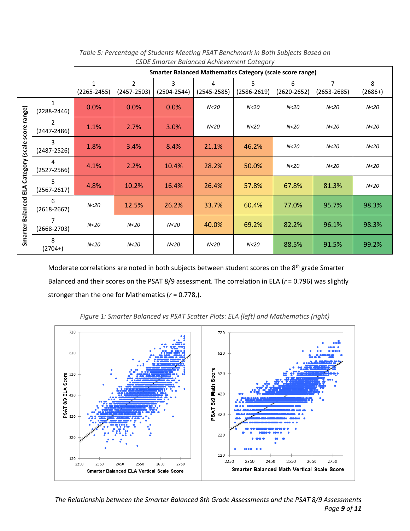|                         | <u>cope omarter balancea Achievement category</u> |                 |                 |                 |                 |                                                                  |                 |                 |                 |
|-------------------------|---------------------------------------------------|-----------------|-----------------|-----------------|-----------------|------------------------------------------------------------------|-----------------|-----------------|-----------------|
|                         |                                                   |                 |                 |                 |                 | <b>Smarter Balanced Mathematics Category (scale score range)</b> |                 |                 |                 |
|                         |                                                   | $\mathbf{1}$    | $\overline{2}$  | 3               | 4               | 5                                                                | 6               | $\overline{7}$  | 8               |
|                         |                                                   | $(2265 - 2455)$ | $(2457 - 2503)$ | $(2504 - 2544)$ | $(2545 - 2585)$ | $(2586 - 2619)$                                                  | $(2620 - 2652)$ | $(2653 - 2685)$ | $(2686+)$       |
| range)                  | 1<br>$(2288 - 2446)$                              | 0.0%            | 0.0%            | 0.0%            | N<20            | N <sub>20</sub>                                                  | N <sub>20</sub> | N <sub>20</sub> | N <sub>20</sub> |
| score                   | $\overline{2}$<br>$(2447 - 2486)$                 | 1.1%            | 2.7%            | 3.0%            | N <sub>20</sub> | N < 20                                                           | N < 20          | N < 20          | N <sub>20</sub> |
|                         | 3<br>$(2487 - 2526)$                              | 1.8%            | 3.4%            | 8.4%            | 21.1%           | 46.2%                                                            | N <sub>20</sub> | N <sub>20</sub> | N <sub>20</sub> |
| Category (scale         | 4<br>$(2527 - 2566)$                              | 4.1%            | 2.2%            | 10.4%           | 28.2%           | 50.0%                                                            | N <sub>20</sub> | N <sub>20</sub> | N <sub>20</sub> |
| ELA                     | 5<br>$(2567 - 2617)$                              | 4.8%            | 10.2%           | 16.4%           | 26.4%           | 57.8%                                                            | 67.8%           | 81.3%           | N <sub>20</sub> |
| <b>Smarter Balanced</b> | 6<br>$(2618 - 2667)$                              | N <sub>20</sub> | 12.5%           | 26.2%           | 33.7%           | 60.4%                                                            | 77.0%           | 95.7%           | 98.3%           |
|                         | 7<br>$(2668 - 2703)$                              | N <sub>20</sub> | N <sub>20</sub> | N <sub>20</sub> | 40.0%           | 69.2%                                                            | 82.2%           | 96.1%           | 98.3%           |
|                         | 8<br>$(2704+)$                                    | N <sub>20</sub> | N <sub>20</sub> | N <sub>20</sub> | N <sub>20</sub> | N <sub>20</sub>                                                  | 88.5%           | 91.5%           | 99.2%           |

*Table 5: Percentage of Students Meeting PSAT Benchmark in Both Subjects Based on CSDE Smarter Balanced Achievement Category*

Moderate correlations are noted in both subjects between student scores on the 8<sup>th</sup> grade Smarter Balanced and their scores on the PSAT 8/9 assessment. The correlation in ELA (*r* = 0.796) was slightly stronger than the one for Mathematics (*r* = 0.778,).



*Figure 1: Smarter Balanced vs PSAT Scatter Plots: ELA (left) and Mathematics (right)*

*The Relationship between the Smarter Balanced 8th Grade Assessments and the PSAT 8/9 Assessments Page 9 of 11*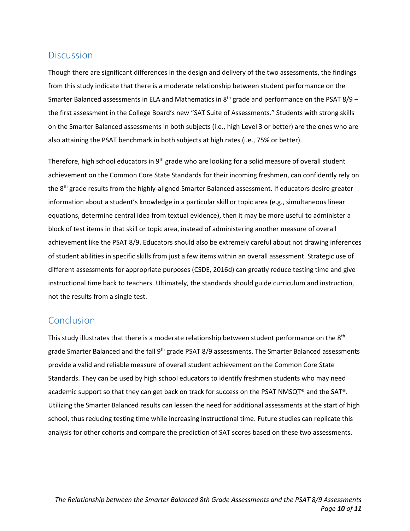#### <span id="page-9-0"></span>**Discussion**

Though there are significant differences in the design and delivery of the two assessments, the findings from this study indicate that there is a moderate relationship between student performance on the Smarter Balanced assessments in ELA and Mathematics in  $8<sup>th</sup>$  grade and performance on the PSAT 8/9 – the first assessment in the College Board's new "SAT Suite of Assessments." Students with strong skills on the Smarter Balanced assessments in both subjects (i.e., high Level 3 or better) are the ones who are also attaining the PSAT benchmark in both subjects at high rates (i.e., 75% or better).

Therefore, high school educators in 9<sup>th</sup> grade who are looking for a solid measure of overall student achievement on the Common Core State Standards for their incoming freshmen, can confidently rely on the 8<sup>th</sup> grade results from the highly-aligned Smarter Balanced assessment. If educators desire greater information about a student's knowledge in a particular skill or topic area (e.g., simultaneous linear equations, determine central idea from textual evidence), then it may be more useful to administer a block of test items in that skill or topic area, instead of administering another measure of overall achievement like the PSAT 8/9. Educators should also be extremely careful about not drawing inferences of student abilities in specific skills from just a few items within an overall assessment. Strategic use of different assessments for appropriate purposes (CSDE, 2016d) can greatly reduce testing time and give instructional time back to teachers. Ultimately, the standards should guide curriculum and instruction, not the results from a single test.

### <span id="page-9-1"></span>Conclusion

This study illustrates that there is a moderate relationship between student performance on the 8<sup>th</sup> grade Smarter Balanced and the fall 9<sup>th</sup> grade PSAT 8/9 assessments. The Smarter Balanced assessments provide a valid and reliable measure of overall student achievement on the Common Core State Standards. They can be used by high school educators to identify freshmen students who may need academic support so that they can get back on track for success on the PSAT NMSQT® and the SAT®. Utilizing the Smarter Balanced results can lessen the need for additional assessments at the start of high school, thus reducing testing time while increasing instructional time. Future studies can replicate this analysis for other cohorts and compare the prediction of SAT scores based on these two assessments.